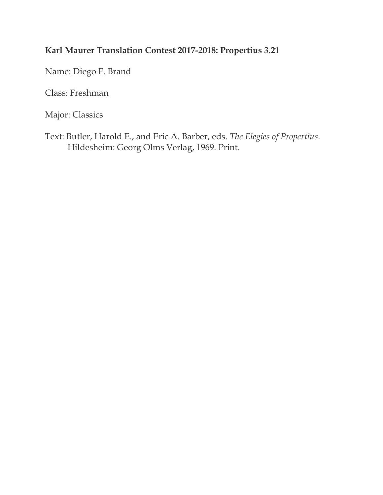## **Karl Maurer Translation Contest 2017-2018: Propertius 3.21**

Name: Diego F. Brand

Class: Freshman

Major: Classics

Text: Butler, Harold E., and Eric A. Barber, eds. *The Elegies of Propertius*. Hildesheim: Georg Olms Verlag, 1969. Print.